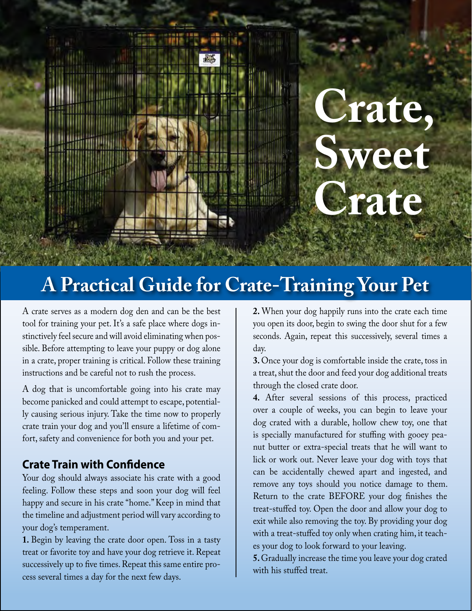

# **A Practical Guide for Crate-Training Your Pet**

A crate serves as a modern dog den and can be the best tool for training your pet. It's a safe place where dogs instinctively feel secure and will avoid eliminating when possible. Before attempting to leave your puppy or dog alone in a crate, proper training is critical. Follow these training instructions and be careful not to rush the process.

A dog that is uncomfortable going into his crate may become panicked and could attempt to escape, potentially causing serious injury. Take the time now to properly crate train your dog and you'll ensure a lifetime of comfort, safety and convenience for both you and your pet.

#### **Crate Train with Confidence**

Your dog should always associate his crate with a good feeling. Follow these steps and soon your dog will feel happy and secure in his crate "home." Keep in mind that the timeline and adjustment period will vary according to your dog's temperament.

**1.** Begin by leaving the crate door open. Toss in a tasty treat or favorite toy and have your dog retrieve it. Repeat successively up to five times. Repeat this same entire process several times a day for the next few days.

**2.** When your dog happily runs into the crate each time you open its door, begin to swing the door shut for a few seconds. Again, repeat this successively, several times a day.

**3.** Once your dog is comfortable inside the crate, toss in a treat, shut the door and feed your dog additional treats through the closed crate door.

**4.** After several sessions of this process, practiced over a couple of weeks, you can begin to leave your dog crated with a durable, hollow chew toy, one that is specially manufactured for stuffing with gooey peanut butter or extra-special treats that he will want to lick or work out. Never leave your dog with toys that can be accidentally chewed apart and ingested, and remove any toys should you notice damage to them. Return to the crate BEFORE your dog finishes the treat-stuffed toy. Open the door and allow your dog to exit while also removing the toy. By providing your dog with a treat-stuffed toy only when crating him, it teaches your dog to look forward to your leaving.

**5.** Gradually increase the time you leave your dog crated with his stuffed treat.